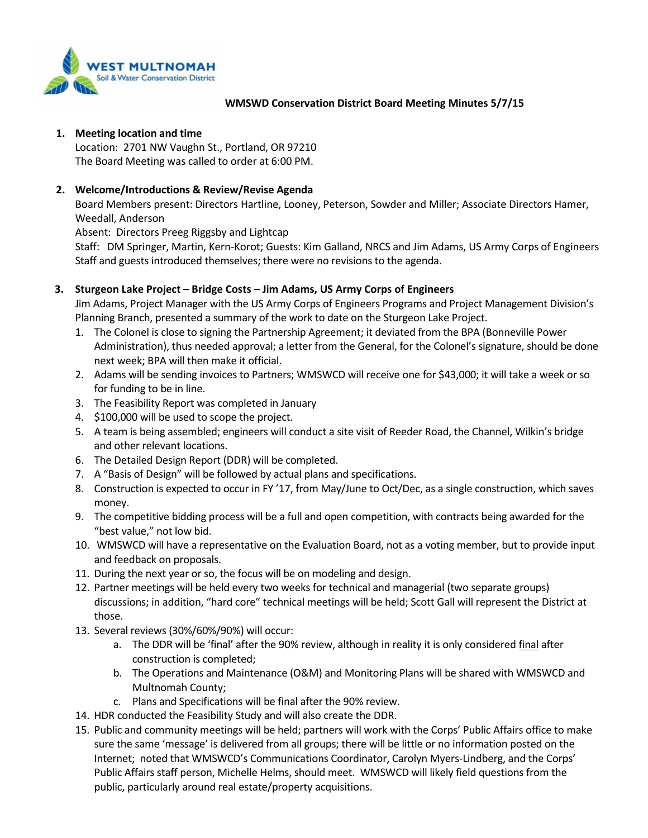

### **WMSWD Conservation District Board Meeting Minutes 5/7/15**

### **1. Meeting location and time**

Location: 2701 NW Vaughn St., Portland, OR 97210 The Board Meeting was called to order at 6:00 PM.

## **2. Welcome/Introductions & Review/Revise Agenda**

Board Members present: Directors Hartline, Looney, Peterson, Sowder and Miller; Associate Directors Hamer, Weedall, Anderson

Absent: Directors Preeg Riggsby and Lightcap

Staff: DM Springer, Martin, Kern-Korot; Guests: Kim Galland, NRCS and Jim Adams, US Army Corps of Engineers Staff and guests introduced themselves; there were no revisions to the agenda.

## **3. Sturgeon Lake Project – Bridge Costs – Jim Adams, US Army Corps of Engineers**

Jim Adams, Project Manager with the US Army Corps of Engineers Programs and Project Management Division's Planning Branch, presented a summary of the work to date on the Sturgeon Lake Project.

- 1. The Colonel is close to signing the Partnership Agreement; it deviated from the BPA (Bonneville Power Administration), thus needed approval; a letter from the General, for the Colonel's signature, should be done next week; BPA will then make it official.
- 2. Adams will be sending invoices to Partners; WMSWCD will receive one for \$43,000; it will take a week or so for funding to be in line.
- 3. The Feasibility Report was completed in January
- 4. \$100,000 will be used to scope the project.
- 5. A team is being assembled; engineers will conduct a site visit of Reeder Road, the Channel, Wilkin's bridge and other relevant locations.
- 6. The Detailed Design Report (DDR) will be completed.
- 7. A "Basis of Design" will be followed by actual plans and specifications.
- 8. Construction is expected to occur in FY '17, from May/June to Oct/Dec, as a single construction, which saves money.
- 9. The competitive bidding process will be a full and open competition, with contracts being awarded for the "best value," not low bid.
- 10. WMSWCD will have a representative on the Evaluation Board, not as a voting member, but to provide input and feedback on proposals.
- 11. During the next year or so, the focus will be on modeling and design.
- 12. Partner meetings will be held every two weeks for technical and managerial (two separate groups) discussions; in addition, "hard core" technical meetings will be held; Scott Gall will represent the District at those.
- 13. Several reviews (30%/60%/90%) will occur:
	- a. The DDR will be 'final' after the 90% review, although in reality it is only considered final after construction is completed;
	- b. The Operations and Maintenance (O&M) and Monitoring Plans will be shared with WMSWCD and Multnomah County;
	- c. Plans and Specifications will be final after the 90% review.
- 14. HDR conducted the Feasibility Study and will also create the DDR.
- 15. Public and community meetings will be held; partners will work with the Corps' Public Affairs office to make sure the same 'message' is delivered from all groups; there will be little or no information posted on the Internet; noted that WMSWCD's Communications Coordinator, Carolyn Myers-Lindberg, and the Corps' Public Affairs staff person, Michelle Helms, should meet. WMSWCD will likely field questions from the public, particularly around real estate/property acquisitions.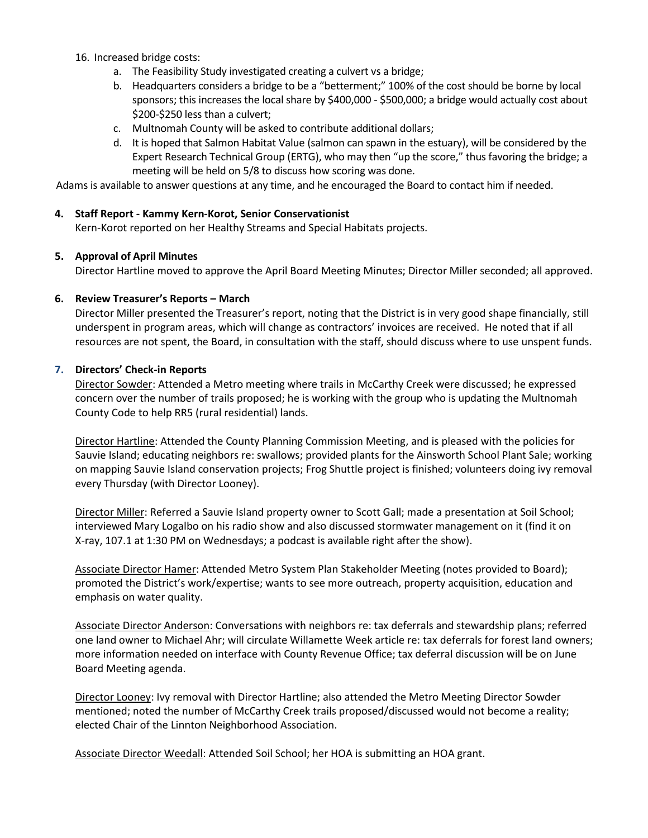- 16. Increased bridge costs:
	- a. The Feasibility Study investigated creating a culvert vs a bridge;
	- b. Headquarters considers a bridge to be a "betterment;" 100% of the cost should be borne by local sponsors; this increases the local share by \$400,000 - \$500,000; a bridge would actually cost about \$200-\$250 less than a culvert;
	- c. Multnomah County will be asked to contribute additional dollars;
	- d. It is hoped that Salmon Habitat Value (salmon can spawn in the estuary), will be considered by the Expert Research Technical Group (ERTG), who may then "up the score," thus favoring the bridge; a meeting will be held on 5/8 to discuss how scoring was done.

Adams is available to answer questions at any time, and he encouraged the Board to contact him if needed.

### **4. Staff Report - Kammy Kern-Korot, Senior Conservationist**

Kern-Korot reported on her Healthy Streams and Special Habitats projects.

#### **5. Approval of April Minutes**

Director Hartline moved to approve the April Board Meeting Minutes; Director Miller seconded; all approved.

#### **6. Review Treasurer's Reports – March**

Director Miller presented the Treasurer's report, noting that the District is in very good shape financially, still underspent in program areas, which will change as contractors' invoices are received. He noted that if all resources are not spent, the Board, in consultation with the staff, should discuss where to use unspent funds.

#### **7. Directors' Check-in Reports**

Director Sowder: Attended a Metro meeting where trails in McCarthy Creek were discussed; he expressed concern over the number of trails proposed; he is working with the group who is updating the Multnomah County Code to help RR5 (rural residential) lands.

Director Hartline: Attended the County Planning Commission Meeting, and is pleased with the policies for Sauvie Island; educating neighbors re: swallows; provided plants for the Ainsworth School Plant Sale; working on mapping Sauvie Island conservation projects; Frog Shuttle project is finished; volunteers doing ivy removal every Thursday (with Director Looney).

Director Miller: Referred a Sauvie Island property owner to Scott Gall; made a presentation at Soil School; interviewed Mary Logalbo on his radio show and also discussed stormwater management on it (find it on X-ray, 107.1 at 1:30 PM on Wednesdays; a podcast is available right after the show).

Associate Director Hamer: Attended Metro System Plan Stakeholder Meeting (notes provided to Board); promoted the District's work/expertise; wants to see more outreach, property acquisition, education and emphasis on water quality.

Associate Director Anderson: Conversations with neighbors re: tax deferrals and stewardship plans; referred one land owner to Michael Ahr; will circulate Willamette Week article re: tax deferrals for forest land owners; more information needed on interface with County Revenue Office; tax deferral discussion will be on June Board Meeting agenda.

Director Looney: Ivy removal with Director Hartline; also attended the Metro Meeting Director Sowder mentioned; noted the number of McCarthy Creek trails proposed/discussed would not become a reality; elected Chair of the Linnton Neighborhood Association.

Associate Director Weedall: Attended Soil School; her HOA is submitting an HOA grant.